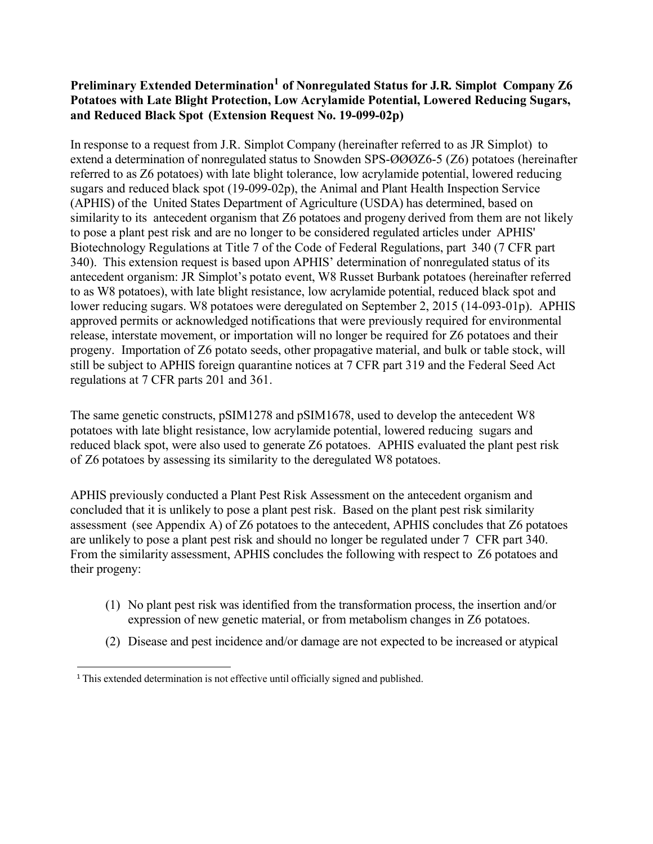#### **Preliminary Extended Determinatio[n1](#page-0-0) of Nonregulated Status for J***.***R***.* **Simplot Company Z6 Potatoes with Late Blight Protection, Low Acrylamide Potential, Lowered Reducing Sugars, and Reduced Black Spot (Extension Request No. 19-099-02p)**

In response to a request from J.R. Simplot Company (hereinafter referred to as JR Simplot) to extend a determination of nonregulated status to Snowden SPS-ØØØZ6-5 (Z6) potatoes (hereinafter referred to as Z6 potatoes) with late blight tolerance, low acrylamide potential, lowered reducing sugars and reduced black spot (19-099-02p), the Animal and Plant Health Inspection Service (APHIS) of the United States Department of Agriculture (USDA) has determined, based on similarity to its antecedent organism that Z6 potatoes and progeny derived from them are not likely to pose a plant pest risk and are no longer to be considered regulated articles under APHIS' Biotechnology Regulations at Title 7 of the Code of Federal Regulations, part 340 (7 CFR part 340). This extension request is based upon APHIS' determination of nonregulated status of its antecedent organism: JR Simplot's potato event, W8 Russet Burbank potatoes (hereinafter referred to as W8 potatoes), with late blight resistance, low acrylamide potential, reduced black spot and lower reducing sugars. W8 potatoes were deregulated on September 2, 2015 (14-093-01p). APHIS approved permits or acknowledged notifications that were previously required for environmental release, interstate movement, or importation will no longer be required for Z6 potatoes and their progeny. Importation of Z6 potato seeds, other propagative material, and bulk or table stock, will still be subject to APHIS foreign quarantine notices at 7 CFR part 319 and the Federal Seed Act regulations at 7 CFR parts 201 and 361.

The same genetic constructs, pSIM1278 and pSIM1678, used to develop the antecedent W8 potatoes with late blight resistance, low acrylamide potential, lowered reducing sugars and reduced black spot, were also used to generate Z6 potatoes. APHIS evaluated the plant pest risk of Z6 potatoes by assessing its similarity to the deregulated W8 potatoes.

APHIS previously conducted a Plant Pest Risk Assessment on the antecedent organism and concluded that it is unlikely to pose a plant pest risk. Based on the plant pest risk similarity assessment (see Appendix A) of Z6 potatoes to the antecedent, APHIS concludes that Z6 potatoes are unlikely to pose a plant pest risk and should no longer be regulated under 7 CFR part 340. From the similarity assessment, APHIS concludes the following with respect to Z6 potatoes and their progeny:

- (1) No plant pest risk was identified from the transformation process, the insertion and/or expression of new genetic material, or from metabolism changes in Z6 potatoes.
- (2) Disease and pest incidence and/or damage are not expected to be increased or atypical

<span id="page-0-0"></span><sup>&</sup>lt;sup>1</sup> This extended determination is not effective until officially signed and published.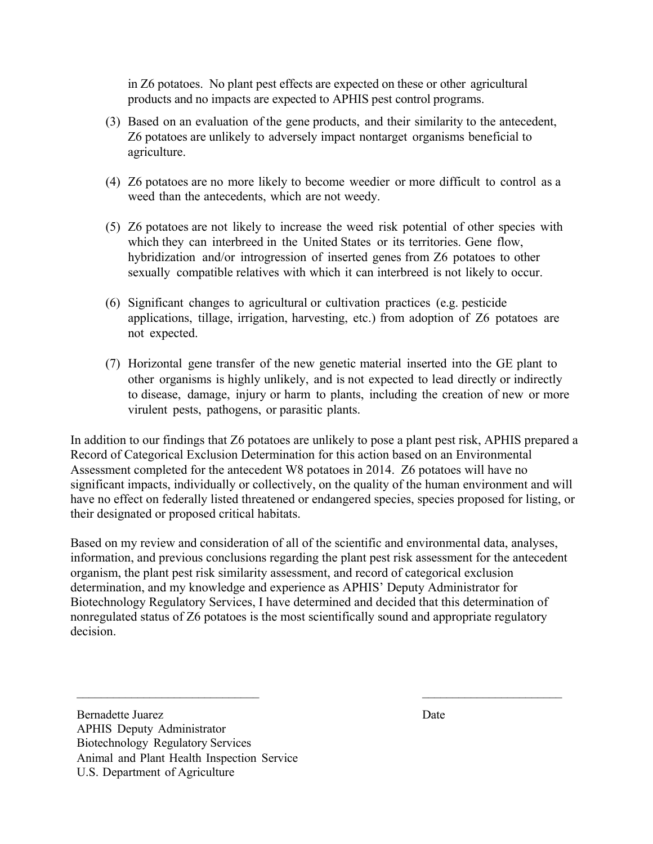in Z6 potatoes. No plant pest effects are expected on these or other agricultural products and no impacts are expected to APHIS pest control programs.

- (3) Based on an evaluation of the gene products, and their similarity to the antecedent, Z6 potatoes are unlikely to adversely impact nontarget organisms beneficial to agriculture.
- (4) Z6 potatoes are no more likely to become weedier or more difficult to control as a weed than the antecedents, which are not weedy.
- (5) Z6 potatoes are not likely to increase the weed risk potential of other species with which they can interbreed in the United States or its territories. Gene flow, hybridization and/or introgression of inserted genes from Z6 potatoes to other sexually compatible relatives with which it can interbreed is not likely to occur.
- (6) Significant changes to agricultural or cultivation practices (e.g. pesticide applications, tillage, irrigation, harvesting, etc.) from adoption of Z6 potatoes are not expected.
- (7) Horizontal gene transfer of the new genetic material inserted into the GE plant to other organisms is highly unlikely, and is not expected to lead directly or indirectly to disease, damage, injury or harm to plants, including the creation of new or more virulent pests, pathogens, or parasitic plants.

In addition to our findings that Z6 potatoes are unlikely to pose a plant pest risk, APHIS prepared a Record of Categorical Exclusion Determination for this action based on an Environmental Assessment completed for the antecedent W8 potatoes in 2014. Z6 potatoes will have no significant impacts, individually or collectively, on the quality of the human environment and will have no effect on federally listed threatened or endangered species, species proposed for listing, or their designated or proposed critical habitats.

Based on my review and consideration of all of the scientific and environmental data, analyses, information, and previous conclusions regarding the plant pest risk assessment for the antecedent organism, the plant pest risk similarity assessment, and record of categorical exclusion determination, and my knowledge and experience as APHIS' Deputy Administrator for Biotechnology Regulatory Services, I have determined and decided that this determination of nonregulated status of Z6 potatoes is the most scientifically sound and appropriate regulatory decision.

 $\frac{1}{2}$  ,  $\frac{1}{2}$  ,  $\frac{1}{2}$  ,  $\frac{1}{2}$  ,  $\frac{1}{2}$  ,  $\frac{1}{2}$  ,  $\frac{1}{2}$  ,  $\frac{1}{2}$  ,  $\frac{1}{2}$  ,  $\frac{1}{2}$  ,  $\frac{1}{2}$  ,  $\frac{1}{2}$  ,  $\frac{1}{2}$  ,  $\frac{1}{2}$  ,  $\frac{1}{2}$  ,  $\frac{1}{2}$  ,  $\frac{1}{2}$  ,  $\frac{1}{2}$  ,  $\frac{1$ 

Bernadette Juarez Date APHIS Deputy Administrator Biotechnology Regulatory Services Animal and Plant Health Inspection Service U.S. Department of Agriculture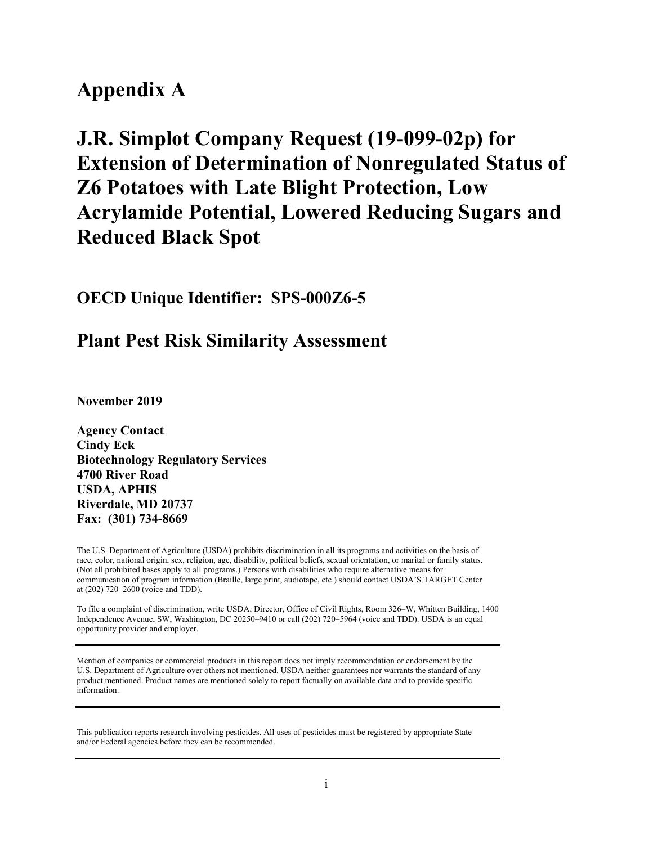# **Appendix A**

# **J.R. Simplot Company Request (19-099-02p) for Extension of Determination of Nonregulated Status of Z6 Potatoes with Late Blight Protection, Low Acrylamide Potential, Lowered Reducing Sugars and Reduced Black Spot**

# **OECD Unique Identifier: SPS-000Z6-5**

# **Plant Pest Risk Similarity Assessment**

**November 2019**

**Agency Contact Cindy Eck Biotechnology Regulatory Services 4700 River Road USDA, APHIS Riverdale, MD 20737 Fax: (301) 734-8669**

The U.S. Department of Agriculture (USDA) prohibits discrimination in all its programs and activities on the basis of race, color, national origin, sex, religion, age, disability, political beliefs, sexual orientation, or marital or family status. (Not all prohibited bases apply to all programs.) Persons with disabilities who require alternative means for communication of program information (Braille, large print, audiotape, etc.) should contact USDA'S TARGET Center at (202) 720–2600 (voice and TDD).

To file a complaint of discrimination, write USDA, Director, Office of Civil Rights, Room 326–W, Whitten Building, 1400 Independence Avenue, SW, Washington, DC 20250–9410 or call (202) 720–5964 (voice and TDD). USDA is an equal opportunity provider and employer.

Mention of companies or commercial products in this report does not imply recommendation or endorsement by the U.S. Department of Agriculture over others not mentioned. USDA neither guarantees nor warrants the standard of any product mentioned. Product names are mentioned solely to report factually on available data and to provide specific information.

This publication reports research involving pesticides. All uses of pesticides must be registered by appropriate State and/or Federal agencies before they can be recommended.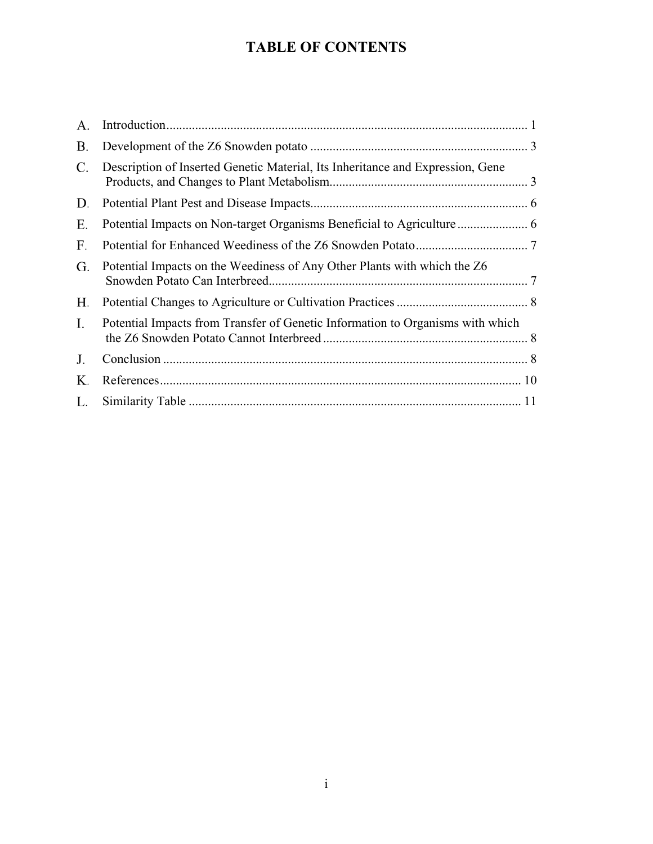# **TABLE OF CONTENTS**

| A <sub>1</sub> |                                                                                |  |
|----------------|--------------------------------------------------------------------------------|--|
| B.             |                                                                                |  |
| C.             | Description of Inserted Genetic Material, Its Inheritance and Expression, Gene |  |
| D.             |                                                                                |  |
| Ε.             |                                                                                |  |
| F.             |                                                                                |  |
| G.             | Potential Impacts on the Weediness of Any Other Plants with which the Z6       |  |
| Н.             |                                                                                |  |
| I.             | Potential Impacts from Transfer of Genetic Information to Organisms with which |  |
| J.             |                                                                                |  |
| Κ.             |                                                                                |  |
| L.             |                                                                                |  |
|                |                                                                                |  |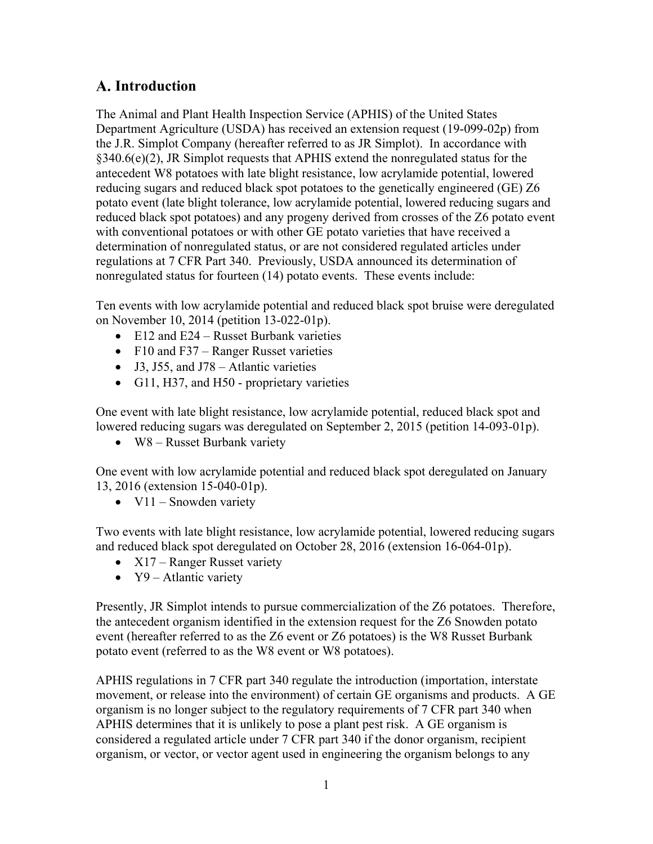# <span id="page-4-0"></span>**Introduction**

The Animal and Plant Health Inspection Service (APHIS) of the United States Department Agriculture (USDA) has received an extension request (19-099-02p) from the J.R. Simplot Company (hereafter referred to as JR Simplot). In accordance with §340.6(e)(2), JR Simplot requests that APHIS extend the nonregulated status for the antecedent W8 potatoes with late blight resistance, low acrylamide potential, lowered reducing sugars and reduced black spot potatoes to the genetically engineered (GE) Z6 potato event (late blight tolerance, low acrylamide potential, lowered reducing sugars and reduced black spot potatoes) and any progeny derived from crosses of the Z6 potato event with conventional potatoes or with other GE potato varieties that have received a determination of nonregulated status, or are not considered regulated articles under regulations at 7 CFR Part 340. Previously, USDA announced its determination of nonregulated status for fourteen (14) potato events. These events include:

Ten events with low acrylamide potential and reduced black spot bruise were deregulated on November 10, 2014 (petition 13-022-01p).

- E12 and E24 Russet Burbank varieties
- F10 and F37 Ranger Russet varieties
- J3, J55, and J78 Atlantic varieties
- G11, H37, and H50 proprietary varieties

One event with late blight resistance, low acrylamide potential, reduced black spot and lowered reducing sugars was deregulated on September 2, 2015 (petition 14-093-01p).

• W8 – Russet Burbank variety

One event with low acrylamide potential and reduced black spot deregulated on January 13, 2016 (extension 15-040-01p).

•  $V11$  – Snowden variety

Two events with late blight resistance, low acrylamide potential, lowered reducing sugars and reduced black spot deregulated on October 28, 2016 (extension 16-064-01p).

- $X17$  Ranger Russet variety
- $Y9$  Atlantic variety

Presently, JR Simplot intends to pursue commercialization of the Z6 potatoes. Therefore, the antecedent organism identified in the extension request for the Z6 Snowden potato event (hereafter referred to as the Z6 event or Z6 potatoes) is the W8 Russet Burbank potato event (referred to as the W8 event or W8 potatoes).

APHIS regulations in 7 CFR part 340 regulate the introduction (importation, interstate movement, or release into the environment) of certain GE organisms and products. A GE organism is no longer subject to the regulatory requirements of 7 CFR part 340 when APHIS determines that it is unlikely to pose a plant pest risk. A GE organism is considered a regulated article under 7 CFR part 340 if the donor organism, recipient organism, or vector, or vector agent used in engineering the organism belongs to any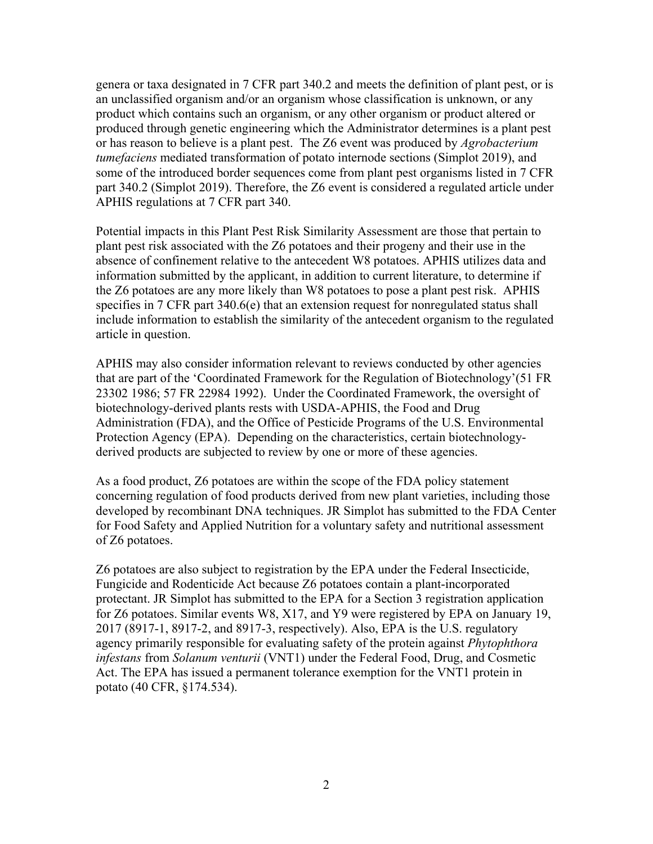genera or taxa designated in 7 CFR part 340.2 and meets the definition of plant pest, or is an unclassified organism and/or an organism whose classification is unknown, or any product which contains such an organism, or any other organism or product altered or produced through genetic engineering which the Administrator determines is a plant pest or has reason to believe is a plant pest. The Z6 event was produced by *Agrobacterium tumefaciens* mediated transformation of potato internode sections [\(Simplot 2019\)](#page-13-1), and some of the introduced border sequences come from plant pest organisms listed in 7 CFR part 340.2 [\(Simplot 2019\)](#page-13-1). Therefore, the Z6 event is considered a regulated article under APHIS regulations at 7 CFR part 340.

Potential impacts in this Plant Pest Risk Similarity Assessment are those that pertain to plant pest risk associated with the Z6 potatoes and their progeny and their use in the absence of confinement relative to the antecedent W8 potatoes. APHIS utilizes data and information submitted by the applicant, in addition to current literature, to determine if the Z6 potatoes are any more likely than W8 potatoes to pose a plant pest risk. APHIS specifies in 7 CFR part 340.6(e) that an extension request for nonregulated status shall include information to establish the similarity of the antecedent organism to the regulated article in question.

APHIS may also consider information relevant to reviews conducted by other agencies that are part of the 'Coordinated Framework for the Regulation of Biotechnology'[\(51 FR](#page-13-2)  [23302 1986;](#page-13-2) [57 FR 22984 1992\)](#page-13-3). Under the Coordinated Framework, the oversight of biotechnology-derived plants rests with USDA-APHIS, the Food and Drug Administration (FDA), and the Office of Pesticide Programs of the U.S. Environmental Protection Agency (EPA). Depending on the characteristics, certain biotechnologyderived products are subjected to review by one or more of these agencies.

As a food product, Z6 potatoes are within the scope of the FDA policy statement concerning regulation of food products derived from new plant varieties, including those developed by recombinant DNA techniques. JR Simplot has submitted to the FDA Center for Food Safety and Applied Nutrition for a voluntary safety and nutritional assessment of Z6 potatoes.

Z6 potatoes are also subject to registration by the EPA under the Federal Insecticide, Fungicide and Rodenticide Act because Z6 potatoes contain a plant-incorporated protectant. JR Simplot has submitted to the EPA for a Section 3 registration application for Z6 potatoes. Similar events W8, X17, and Y9 were registered by EPA on January 19, 2017 (8917-1, 8917-2, and 8917-3, respectively). Also, EPA is the U.S. regulatory agency primarily responsible for evaluating safety of the protein against *Phytophthora infestans* from *Solanum venturii* (VNT1) under the Federal Food, Drug, and Cosmetic Act. The EPA has issued a permanent tolerance exemption for the VNT1 protein in potato (40 CFR, §174.534).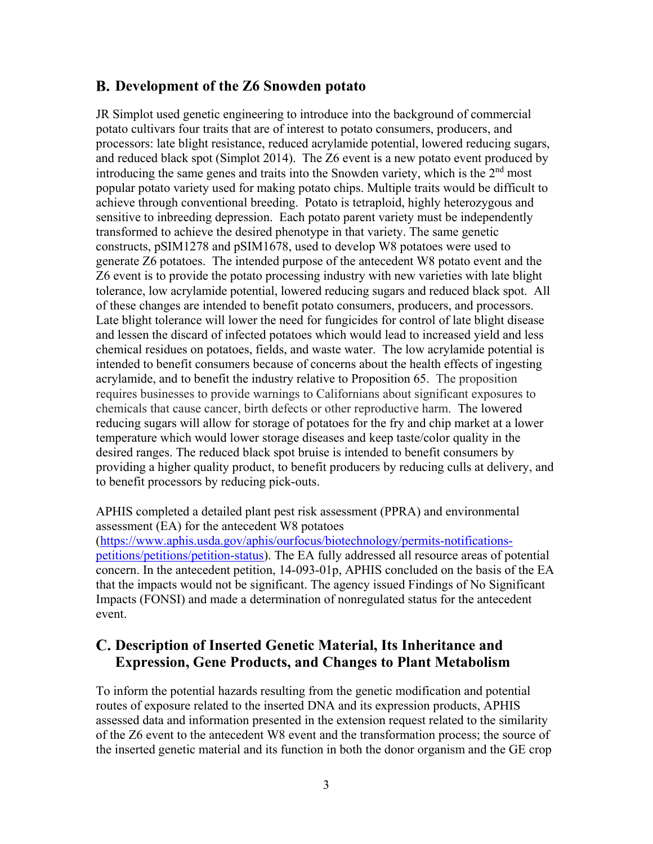#### <span id="page-6-0"></span>**Development of the Z6 Snowden potato**

JR Simplot used genetic engineering to introduce into the background of commercial potato cultivars four traits that are of interest to potato consumers, producers, and processors: late blight resistance, reduced acrylamide potential, lowered reducing sugars, and reduced black spot [\(Simplot 2014\)](#page-13-4). The Z6 event is a new potato event produced by introducing the same genes and traits into the Snowden variety, which is the  $2<sup>nd</sup>$  most popular potato variety used for making potato chips. Multiple traits would be difficult to achieve through conventional breeding. Potato is tetraploid, highly heterozygous and sensitive to inbreeding depression. Each potato parent variety must be independently transformed to achieve the desired phenotype in that variety. The same genetic constructs, pSIM1278 and pSIM1678, used to develop W8 potatoes were used to generate Z6 potatoes. The intended purpose of the antecedent W8 potato event and the Z6 event is to provide the potato processing industry with new varieties with late blight tolerance, low acrylamide potential, lowered reducing sugars and reduced black spot. All of these changes are intended to benefit potato consumers, producers, and processors. Late blight tolerance will lower the need for fungicides for control of late blight disease and lessen the discard of infected potatoes which would lead to increased yield and less chemical residues on potatoes, fields, and waste water. The low acrylamide potential is intended to benefit consumers because of concerns about the health effects of ingesting acrylamide, and to benefit the industry relative to Proposition 65. The proposition requires businesses to provide warnings to Californians about significant exposures to chemicals that cause cancer, birth defects or other reproductive harm. The lowered reducing sugars will allow for storage of potatoes for the fry and chip market at a lower temperature which would lower storage diseases and keep taste/color quality in the desired ranges. The reduced black spot bruise is intended to benefit consumers by providing a higher quality product, to benefit producers by reducing culls at delivery, and to benefit processors by reducing pick-outs.

APHIS completed a detailed plant pest risk assessment (PPRA) and environmental assessment (EA) for the antecedent W8 potatoes [\(https://www.aphis.usda.gov/aphis/ourfocus/biotechnology/permits-notifications](https://www.aphis.usda.gov/aphis/ourfocus/biotechnology/permits-notifications-petitions/petitions/petition-status)[petitions/petitions/petition-status\)](https://www.aphis.usda.gov/aphis/ourfocus/biotechnology/permits-notifications-petitions/petitions/petition-status). The EA fully addressed all resource areas of potential concern. In the antecedent petition, 14-093-01p, APHIS concluded on the basis of the EA that the impacts would not be significant. The agency issued Findings of No Significant Impacts (FONSI) and made a determination of nonregulated status for the antecedent event.

# <span id="page-6-1"></span>**Description of Inserted Genetic Material, Its Inheritance and Expression, Gene Products, and Changes to Plant Metabolism**

To inform the potential hazards resulting from the genetic modification and potential routes of exposure related to the inserted DNA and its expression products, APHIS assessed data and information presented in the extension request related to the similarity of the Z6 event to the antecedent W8 event and the transformation process; the source of the inserted genetic material and its function in both the donor organism and the GE crop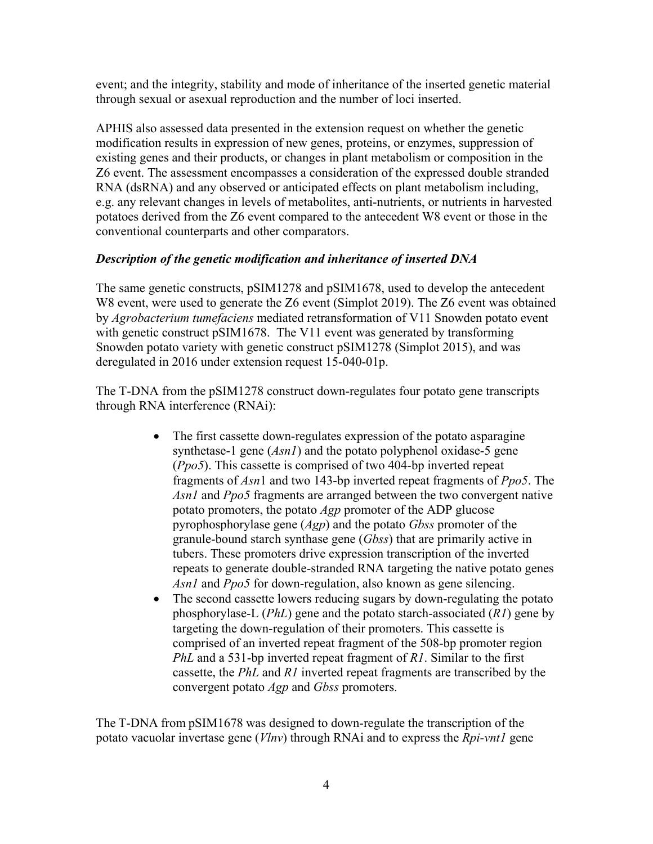event; and the integrity, stability and mode of inheritance of the inserted genetic material through sexual or asexual reproduction and the number of loci inserted.

APHIS also assessed data presented in the extension request on whether the genetic modification results in expression of new genes, proteins, or enzymes, suppression of existing genes and their products, or changes in plant metabolism or composition in the Z6 event. The assessment encompasses a consideration of the expressed double stranded RNA (dsRNA) and any observed or anticipated effects on plant metabolism including, e.g. any relevant changes in levels of metabolites, anti-nutrients, or nutrients in harvested potatoes derived from the Z6 event compared to the antecedent W8 event or those in the conventional counterparts and other comparators.

#### *Description of the genetic modification and inheritance of inserted DNA*

The same genetic constructs, pSIM1278 and pSIM1678, used to develop the antecedent W8 event, were used to generate the Z6 event [\(Simplot 2019\)](#page-13-1). The Z6 event was obtained by *Agrobacterium tumefaciens* mediated retransformation of V11 Snowden potato event with genetic construct pSIM1678. The V11 event was generated by transforming Snowden potato variety with genetic construct pSIM1278 [\(Simplot](#page-13-5) 2015), and was deregulated in 2016 under extension request 15-040-01p.

The T-DNA from the pSIM1278 construct down-regulates four potato gene transcripts through RNA interference (RNAi):

- The first cassette down-regulates expression of the potato asparagine synthetase-1 gene (*Asn1*) and the potato polyphenol oxidase-5 gene (*Ppo5*). This cassette is comprised of two 404-bp inverted repeat fragments of *Asn*1 and two 143-bp inverted repeat fragments of *Ppo5*. The *Asn1* and *Ppo5* fragments are arranged between the two convergent native potato promoters, the potato *Agp* promoter of the ADP glucose pyrophosphorylase gene (*Agp*) and the potato *Gbss* promoter of the granule-bound starch synthase gene (*Gbss*) that are primarily active in tubers. These promoters drive expression transcription of the inverted repeats to generate double-stranded RNA targeting the native potato genes *Asn1* and *Ppo5* for down-regulation, also known as gene silencing.
- The second cassette lowers reducing sugars by down-regulating the potato phosphorylase-L (*PhL*) gene and the potato starch-associated (*R1*) gene by targeting the down-regulation of their promoters. This cassette is comprised of an inverted repeat fragment of the 508-bp promoter region *PhL* and a 531-bp inverted repeat fragment of *R1*. Similar to the first cassette, the *PhL* and *R1* inverted repeat fragments are transcribed by the convergent potato *Agp* and *Gbss* promoters.

The T-DNA from pSIM1678 was designed to down-regulate the transcription of the potato vacuolar invertase gene (*Vlnv*) through RNAi and to express the *Rpi-vnt1* gene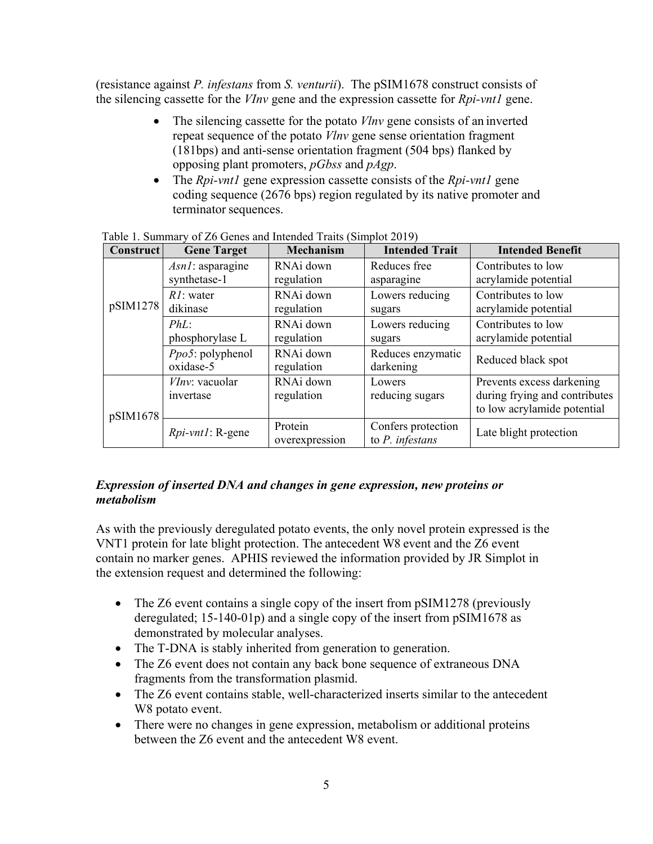(resistance against *P. infestans* from *S. venturii*). The pSIM1678 construct consists of the silencing cassette for the *VInv* gene and the expression cassette for *Rpi-vnt1* gene.

- The silencing cassette for the potato *Vlnv* gene consists of an inverted repeat sequence of the potato *Vlnv* gene sense orientation fragment (181bps) and anti-sense orientation fragment (504 bps) flanked by opposing plant promoters, *pGbss* and *pAgp*.
- The *Rpi-vnt1* gene expression cassette consists of the *Rpi-vnt1* gene coding sequence (2676 bps) region regulated by its native promoter and terminator sequences.

| <b>Construct</b> | <b>Gene Target</b>                  | <b>Mechanism</b>          | <b>Intended Trait</b>                    | <b>Intended Benefit</b>                                                                   |
|------------------|-------------------------------------|---------------------------|------------------------------------------|-------------------------------------------------------------------------------------------|
|                  | $Asn!$ : asparagine<br>synthetase-1 | RNAi down<br>regulation   | Reduces free<br>asparagine               | Contributes to low<br>acrylamide potential                                                |
| pSIM1278         | $RI:$ water<br>dikinase             | RNAi down<br>regulation   | Lowers reducing<br>sugars                | Contributes to low<br>acrylamide potential                                                |
|                  | $PhL$ :<br>phosphorylase L          | RNAi down<br>regulation   | Lowers reducing<br>sugars                | Contributes to low<br>acrylamide potential                                                |
|                  | $Ppo5$ : polyphenol<br>oxidase-5    | RNAi down<br>regulation   | Reduces enzymatic<br>darkening           | Reduced black spot                                                                        |
| pSIM1678         | VInv: vacuolar<br>invertase         | RNAi down<br>regulation   | Lowers<br>reducing sugars                | Prevents excess darkening<br>during frying and contributes<br>to low acrylamide potential |
|                  | $Rpi$ - $vnt!$ : R-gene             | Protein<br>overexpression | Confers protection<br>to $P$ . infestans | Late blight protection                                                                    |

Table 1. Summary of Z6 Genes and Intended Traits [\(Simplot 2019\)](#page-13-1)

#### *Expression of inserted DNA and changes in gene expression, new proteins or metabolism*

As with the previously deregulated potato events, the only novel protein expressed is the VNT1 protein for late blight protection. The antecedent W8 event and the Z6 event contain no marker genes. APHIS reviewed the information provided by JR Simplot in the extension request and determined the following:

- The Z6 event contains a single copy of the insert from pSIM1278 (previously deregulated; 15-140-01p) and a single copy of the insert from pSIM1678 as demonstrated by molecular analyses.
- The T-DNA is stably inherited from generation to generation.
- The Z6 event does not contain any back bone sequence of extraneous DNA fragments from the transformation plasmid.
- The Z6 event contains stable, well-characterized inserts similar to the antecedent W8 potato event.
- There were no changes in gene expression, metabolism or additional proteins between the Z6 event and the antecedent W8 event.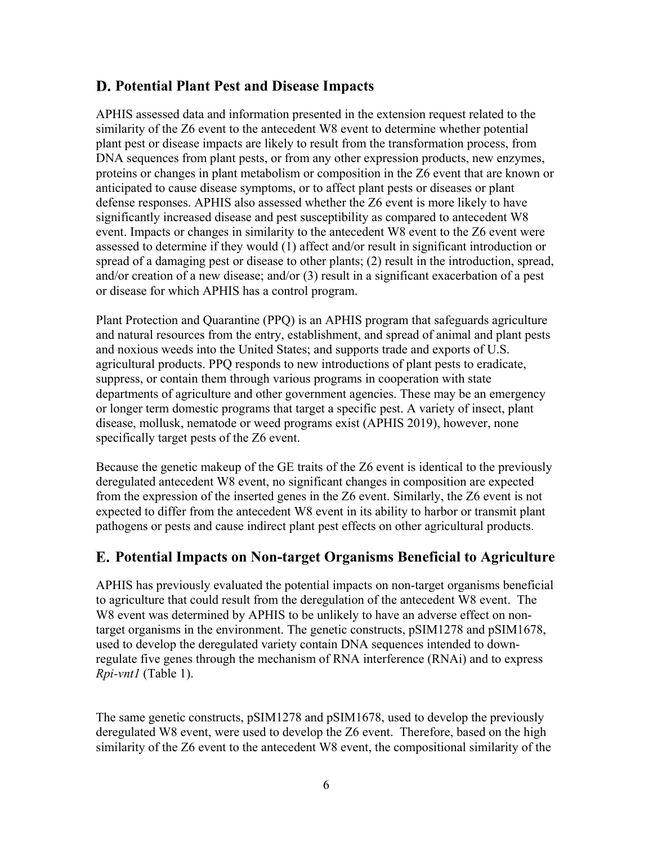### <span id="page-9-0"></span>**Potential Plant Pest and Disease Impacts**

APHIS assessed data and information presented in the extension request related to the similarity of the Z6 event to the antecedent W8 event to determine whether potential plant pest or disease impacts are likely to result from the transformation process, from DNA sequences from plant pests, or from any other expression products, new enzymes, proteins or changes in plant metabolism or composition in the Z6 event that are known or anticipated to cause disease symptoms, or to affect plant pests or diseases or plant defense responses. APHIS also assessed whether the Z6 event is more likely to have significantly increased disease and pest susceptibility as compared to antecedent W8 event. Impacts or changes in similarity to the antecedent W8 event to the Z6 event were assessed to determine if they would (1) affect and/or result in significant introduction or spread of a damaging pest or disease to other plants; (2) result in the introduction, spread, and/or creation of a new disease; and/or (3) result in a significant exacerbation of a pest or disease for which APHIS has a control program.

Plant Protection and Quarantine (PPQ) is an APHIS program that safeguards agriculture and natural resources from the entry, establishment, and spread of animal and plant pests and noxious weeds into the United States; and supports trade and exports of U.S. agricultural products. PPQ responds to new introductions of plant pests to eradicate, suppress, or contain them through various programs in cooperation with state departments of agriculture and other government agencies. These may be an emergency or longer term domestic programs that target a specific pest. A variety of insect, plant disease, mollusk, nematode or weed programs exist [\(APHIS 2019\)](#page-13-6), however, none specifically target pests of the Z6 event.

Because the genetic makeup of the GE traits of the Z6 event is identical to the previously deregulated antecedent W8 event, no significant changes in composition are expected from the expression of the inserted genes in the Z6 event. Similarly, the Z6 event is not expected to differ from the antecedent W8 event in its ability to harbor or transmit plant pathogens or pests and cause indirect plant pest effects on other agricultural products.

# <span id="page-9-1"></span>**Potential Impacts on Non-target Organisms Beneficial to Agriculture**

APHIS has previously evaluated the potential impacts on non-target organisms beneficial to agriculture that could result from the deregulation of the antecedent W8 event. The W8 event was determined by APHIS to be unlikely to have an adverse effect on nontarget organisms in the environment. The genetic constructs, pSIM1278 and pSIM1678, used to develop the deregulated variety contain DNA sequences intended to downregulate five genes through the mechanism of RNA interference (RNAi) and to express *Rpi-vnt1* (Table 1).

The same genetic constructs, pSIM1278 and pSIM1678, used to develop the previously deregulated W8 event, were used to develop the Z6 event. Therefore, based on the high similarity of the Z6 event to the antecedent W8 event, the compositional similarity of the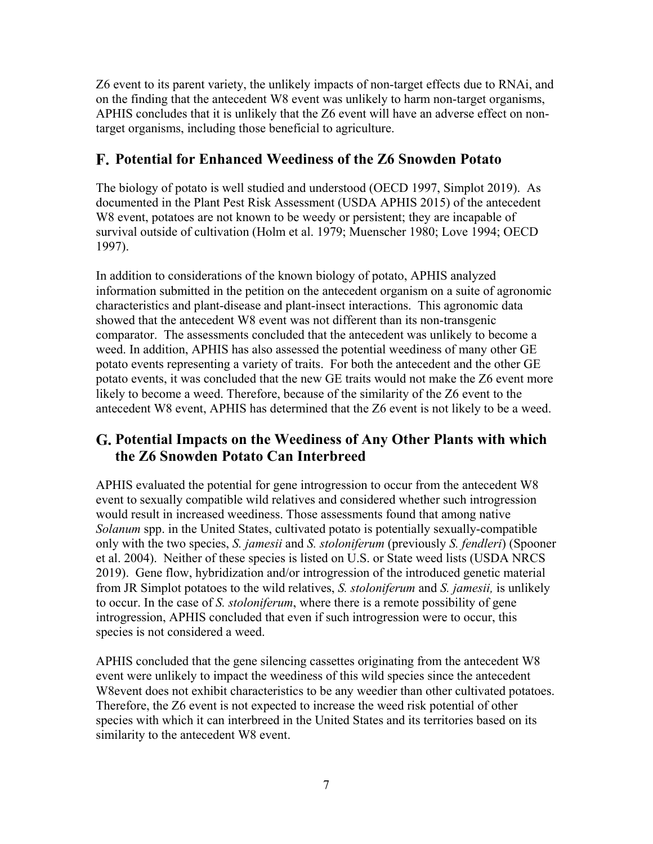Z6 event to its parent variety, the unlikely impacts of non-target effects due to RNAi, and on the finding that the antecedent W8 event was unlikely to harm non-target organisms, APHIS concludes that it is unlikely that the Z6 event will have an adverse effect on nontarget organisms, including those beneficial to agriculture.

# <span id="page-10-0"></span>**Potential for Enhanced Weediness of the Z6 Snowden Potato**

The biology of potato is well studied and understood [\(OECD 1997,](#page-13-7) [Simplot 2019\)](#page-13-1). As documented in the Plant Pest Risk Assessment [\(USDA APHIS 2015\)](#page-13-8) of the antecedent W8 event, potatoes are not known to be weedy or persistent; they are incapable of survival outside of cultivation [\(Holm et al. 1979;](#page-13-9) [Muenscher 1980;](#page-13-10) [Love 1994;](#page-13-11) [OECD](#page-13-7)  [1997\)](#page-13-7).

In addition to considerations of the known biology of potato, APHIS analyzed information submitted in the petition on the antecedent organism on a suite of agronomic characteristics and plant-disease and plant-insect interactions. This agronomic data showed that the antecedent W8 event was not different than its non-transgenic comparator. The assessments concluded that the antecedent was unlikely to become a weed. In addition, APHIS has also assessed the potential weediness of many other GE potato events representing a variety of traits. For both the antecedent and the other GE potato events, it was concluded that the new GE traits would not make the Z6 event more likely to become a weed. Therefore, because of the similarity of the Z6 event to the antecedent W8 event, APHIS has determined that the Z6 event is not likely to be a weed.

# <span id="page-10-1"></span>**Potential Impacts on the Weediness of Any Other Plants with which the Z6 Snowden Potato Can Interbreed**

APHIS evaluated the potential for gene introgression to occur from the antecedent W8 event to sexually compatible wild relatives and considered whether such introgression would result in increased weediness. Those assessments found that among native *Solanum* spp. in the United States, cultivated potato is potentially sexually-compatible only with the two species, *S. jamesii* and *S. stoloniferum* (previously *S. fendleri*) [\(Spooner](#page-13-12)  [et al. 2004\)](#page-13-12). Neither of these species is listed on U.S. or State weed lists [\(USDA NRCS](#page-13-13)  [2019\)](#page-13-13). Gene flow, hybridization and/or introgression of the introduced genetic material from JR Simplot potatoes to the wild relatives, *S. stoloniferum* and *S. jamesii,* is unlikely to occur. In the case of *S. stoloniferum*, where there is a remote possibility of gene introgression, APHIS concluded that even if such introgression were to occur, this species is not considered a weed.

APHIS concluded that the gene silencing cassettes originating from the antecedent W8 event were unlikely to impact the weediness of this wild species since the antecedent W8event does not exhibit characteristics to be any weedier than other cultivated potatoes. Therefore, the Z6 event is not expected to increase the weed risk potential of other species with which it can interbreed in the United States and its territories based on its similarity to the antecedent W8 event.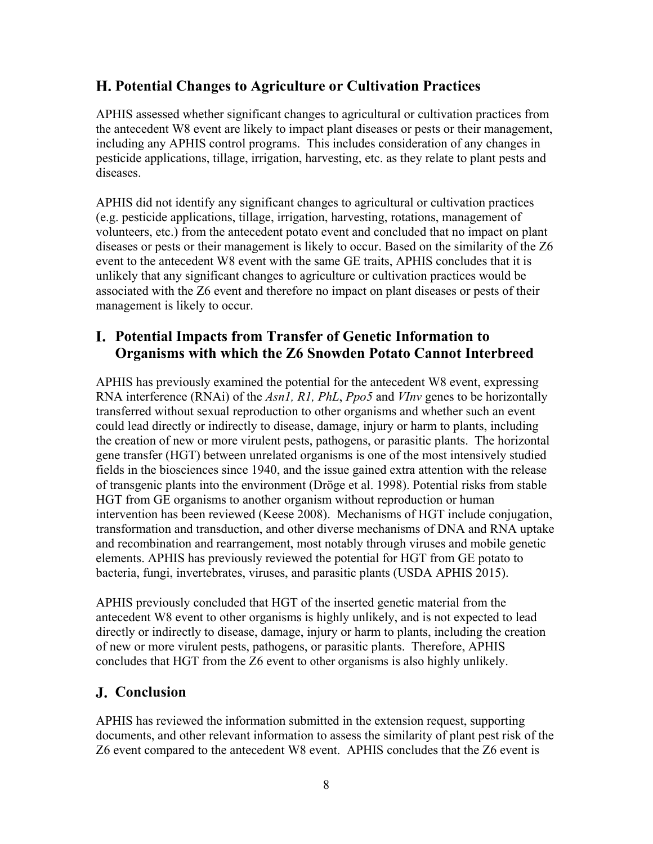## <span id="page-11-0"></span>**Potential Changes to Agriculture or Cultivation Practices**

APHIS assessed whether significant changes to agricultural or cultivation practices from the antecedent W8 event are likely to impact plant diseases or pests or their management, including any APHIS control programs. This includes consideration of any changes in pesticide applications, tillage, irrigation, harvesting, etc. as they relate to plant pests and diseases.

APHIS did not identify any significant changes to agricultural or cultivation practices (e.g. pesticide applications, tillage, irrigation, harvesting, rotations, management of volunteers, etc.) from the antecedent potato event and concluded that no impact on plant diseases or pests or their management is likely to occur. Based on the similarity of the Z6 event to the antecedent W8 event with the same GE traits, APHIS concludes that it is unlikely that any significant changes to agriculture or cultivation practices would be associated with the Z6 event and therefore no impact on plant diseases or pests of their management is likely to occur.

### <span id="page-11-1"></span>**Potential Impacts from Transfer of Genetic Information to Organisms with which the Z6 Snowden Potato Cannot Interbreed**

APHIS has previously examined the potential for the antecedent W8 event, expressing RNA interference (RNAi) of the *Asn1, R1, PhL*, *Ppo5* and *VInv* genes to be horizontally transferred without sexual reproduction to other organisms and whether such an event could lead directly or indirectly to disease, damage, injury or harm to plants, including the creation of new or more virulent pests, pathogens, or parasitic plants. The horizontal gene transfer (HGT) between unrelated organisms is one of the most intensively studied fields in the biosciences since 1940, and the issue gained extra attention with the release of transgenic plants into the environment [\(Dröge et al. 1998\)](#page-13-14). Potential risks from stable HGT from GE organisms to another organism without reproduction or human intervention has been reviewed [\(Keese 2008\)](#page-13-15). Mechanisms of HGT include conjugation, transformation and transduction, and other diverse mechanisms of DNA and RNA uptake and recombination and rearrangement, most notably through viruses and mobile genetic elements. APHIS has previously reviewed the potential for HGT from GE potato to bacteria, fungi, invertebrates, viruses, and parasitic plants [\(USDA APHIS 2015\)](#page-13-8).

APHIS previously concluded that HGT of the inserted genetic material from the antecedent W8 event to other organisms is highly unlikely, and is not expected to lead directly or indirectly to disease, damage, injury or harm to plants, including the creation of new or more virulent pests, pathogens, or parasitic plants. Therefore, APHIS concludes that HGT from the Z6 event to other organisms is also highly unlikely.

# <span id="page-11-2"></span>**Conclusion**

APHIS has reviewed the information submitted in the extension request, supporting documents, and other relevant information to assess the similarity of plant pest risk of the Z6 event compared to the antecedent W8 event. APHIS concludes that the Z6 event is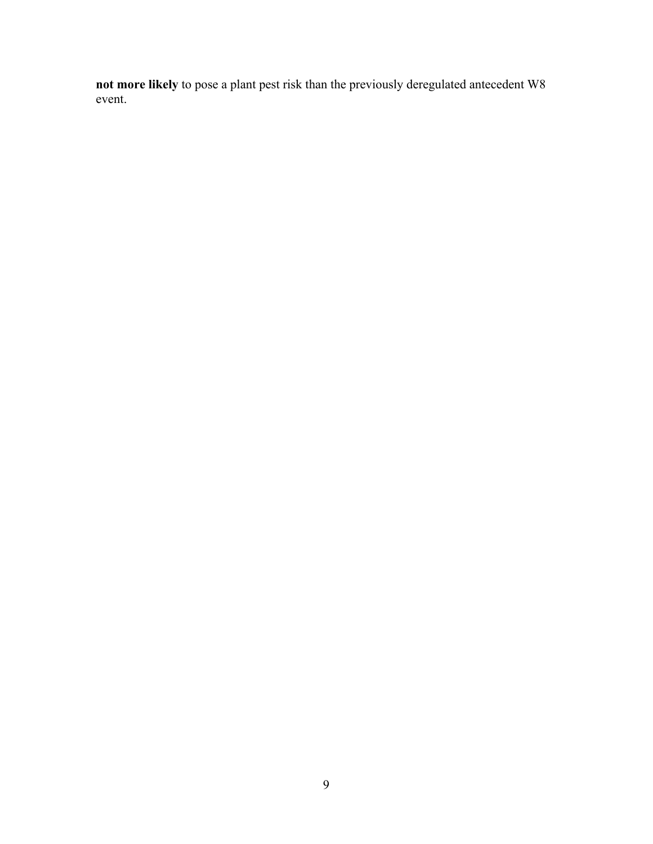**not more likely** to pose a plant pest risk than the previously deregulated antecedent W8 event.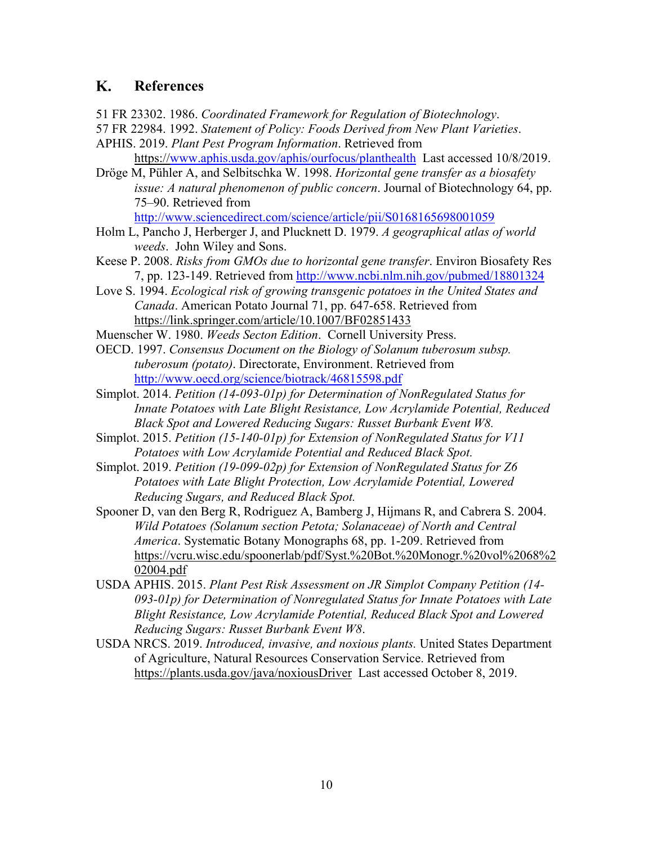#### <span id="page-13-0"></span>K. **References**

<span id="page-13-2"></span>51 FR 23302. 1986. *Coordinated Framework for Regulation of Biotechnology*.

- <span id="page-13-3"></span>57 FR 22984. 1992. *Statement of Policy: Foods Derived from New Plant Varieties*.
- <span id="page-13-6"></span>APHIS. 2019. *Plant Pest Program Information*. Retrieved from https:/[/www.aphis.usda.gov/aphis/ourfocus/planthealth](http://www.aphis.usda.gov/aphis/ourfocus/planthealth) Last accessed 10/8/2019.
- <span id="page-13-14"></span>Dröge M, Pühler A, and Selbitschka W. 1998. *Horizontal gene transfer as a biosafety issue: A natural phenomenon of public concern*. Journal of Biotechnology 64, pp. 75–90. Retrieved from

<http://www.sciencedirect.com/science/article/pii/S0168165698001059>

- <span id="page-13-9"></span>Holm L, Pancho J, Herberger J, and Plucknett D. 1979. *A geographical atlas of world weeds*. John Wiley and Sons.
- <span id="page-13-15"></span>Keese P. 2008. *Risks from GMOs due to horizontal gene transfer*. Environ Biosafety Res 7, pp. 123-149. Retrieved from<http://www.ncbi.nlm.nih.gov/pubmed/18801324>
- <span id="page-13-11"></span>Love S. 1994. *Ecological risk of growing transgenic potatoes in the United States and Canada*. American Potato Journal 71, pp. 647-658. Retrieved from https://link.springer.com/article/10.1007/BF02851433
- <span id="page-13-10"></span>Muenscher W. 1980. *Weeds Secton Edition*. Cornell University Press.
- <span id="page-13-7"></span>OECD. 1997. *Consensus Document on the Biology of Solanum tuberosum subsp. tuberosum (potato)*. Directorate, Environment. Retrieved from <http://www.oecd.org/science/biotrack/46815598.pdf>
- <span id="page-13-4"></span>Simplot. 2014. *Petition (14-093-01p) for Determination of NonRegulated Status for Innate Potatoes with Late Blight Resistance, Low Acrylamide Potential, Reduced Black Spot and Lowered Reducing Sugars: Russet Burbank Event W8.*
- <span id="page-13-5"></span>Simplot. 2015. *Petition (15-140-01p) for Extension of NonRegulated Status for V11 Potatoes with Low Acrylamide Potential and Reduced Black Spot.*
- <span id="page-13-1"></span>Simplot. 2019. *Petition (19-099-02p) for Extension of NonRegulated Status for Z6 Potatoes with Late Blight Protection, Low Acrylamide Potential, Lowered Reducing Sugars, and Reduced Black Spot.*
- <span id="page-13-12"></span>Spooner D, van den Berg R, Rodriguez A, Bamberg J, Hijmans R, and Cabrera S. 2004. *Wild Potatoes (Solanum section Petota; Solanaceae) of North and Central America*. Systematic Botany Monographs 68, pp. 1-209. Retrieved from https://vcru.wisc.edu/spoonerlab/pdf/Syst.%20Bot.%20Monogr.%20vol%2068%2 02004.pdf
- <span id="page-13-8"></span>USDA APHIS. 2015. *Plant Pest Risk Assessment on JR Simplot Company Petition (14- 093-01p) for Determination of Nonregulated Status for Innate Potatoes with Late Blight Resistance, Low Acrylamide Potential, Reduced Black Spot and Lowered Reducing Sugars: Russet Burbank Event W8*.
- <span id="page-13-13"></span>USDA NRCS. 2019. *Introduced, invasive, and noxious plants.* United States Department of Agriculture, Natural Resources Conservation Service. Retrieved from https://plants.usda.gov/java/noxiousDriver Last accessed October 8, 2019.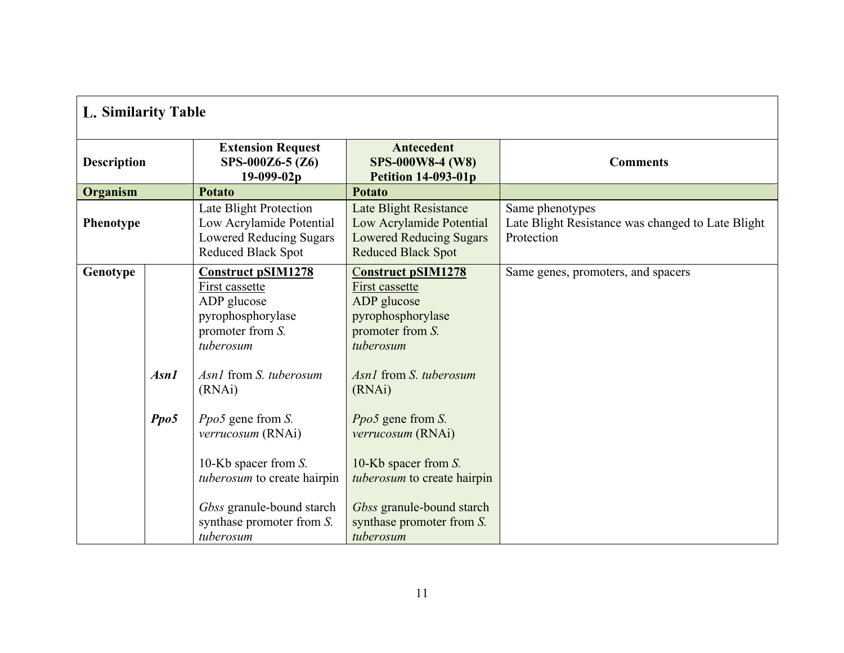<span id="page-14-0"></span>

| L. Similarity Table |              |                                                                                                                                                                                                                                                                                                                    |                                                                                                                                                                                                                                                                                                                                   |                                                                                    |
|---------------------|--------------|--------------------------------------------------------------------------------------------------------------------------------------------------------------------------------------------------------------------------------------------------------------------------------------------------------------------|-----------------------------------------------------------------------------------------------------------------------------------------------------------------------------------------------------------------------------------------------------------------------------------------------------------------------------------|------------------------------------------------------------------------------------|
| <b>Description</b>  |              | <b>Extension Request</b><br>SPS-000Z6-5 (Z6)<br>19-099-02p                                                                                                                                                                                                                                                         | Antecedent<br><b>SPS-000W8-4 (W8)</b><br><b>Petition 14-093-01p</b>                                                                                                                                                                                                                                                               | <b>Comments</b>                                                                    |
| Organism            |              | <b>Potato</b>                                                                                                                                                                                                                                                                                                      | <b>Potato</b>                                                                                                                                                                                                                                                                                                                     |                                                                                    |
| Phenotype           |              | Late Blight Protection<br>Low Acrylamide Potential<br><b>Lowered Reducing Sugars</b><br>Reduced Black Spot                                                                                                                                                                                                         | <b>Late Blight Resistance</b><br>Low Acrylamide Potential<br><b>Lowered Reducing Sugars</b><br>Reduced Black Spot                                                                                                                                                                                                                 | Same phenotypes<br>Late Blight Resistance was changed to Late Blight<br>Protection |
| Genotype            | Asn1<br>Ppo5 | <b>Construct pSIM1278</b><br>First cassette<br>ADP glucose<br>pyrophosphorylase<br>promoter from S.<br>tuberosum<br>Asn1 from S. tuberosum<br>(RNAi)<br>Ppo5 gene from S.<br>verrucosum (RNAi)<br>10-Kb spacer from $S$ .<br>tuberosum to create hairpin<br>Gbss granule-bound starch<br>synthase promoter from S. | <b>Construct pSIM1278</b><br>First cassette<br>ADP glucose<br>pyrophosphorylase<br>promoter from S.<br>tuberosum<br>Asn1 from S. tuberosum<br>(RNAi)<br><i>Ppo5</i> gene from <i>S</i> .<br>verrucosum (RNAi)<br>10-Kb spacer from S.<br>tuberosum to create hairpin<br>Gbss granule-bound starch<br>synthase promoter from $S$ . | Same genes, promoters, and spacers                                                 |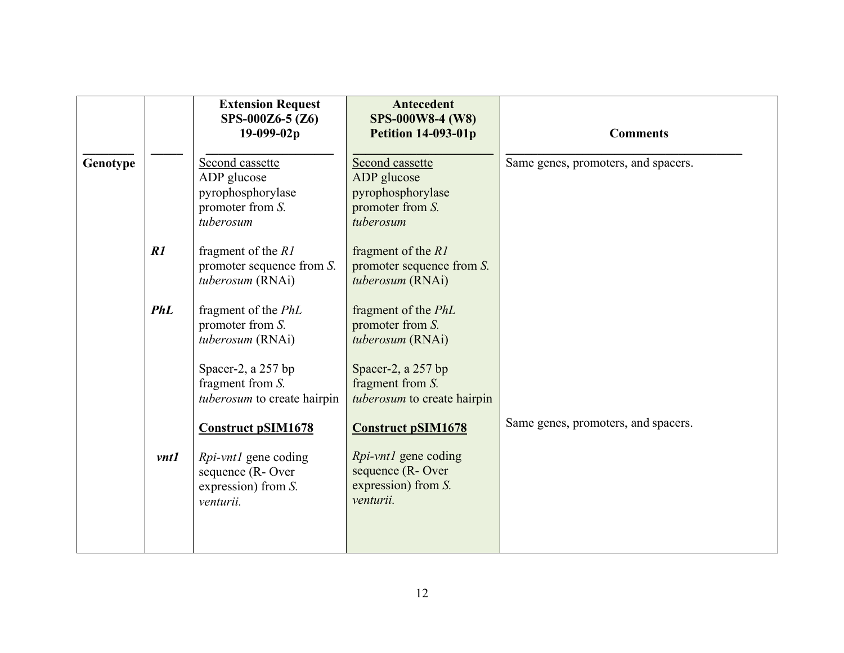|          |             | <b>Extension Request</b><br>SPS-000Z6-5 (Z6)<br>19-099-02p                           | Antecedent<br><b>SPS-000W8-4 (W8)</b><br><b>Petition 14-093-01p</b>                  | <b>Comments</b>                     |
|----------|-------------|--------------------------------------------------------------------------------------|--------------------------------------------------------------------------------------|-------------------------------------|
| Genotype |             | Second cassette<br>ADP glucose<br>pyrophosphorylase<br>promoter from S.<br>tuberosum | Second cassette<br>ADP glucose<br>pyrophosphorylase<br>promoter from S.<br>tuberosum | Same genes, promoters, and spacers. |
|          | R1          | fragment of the $R1$<br>promoter sequence from $S$ .<br>tuberosum (RNAi)             | fragment of the $R1$<br>promoter sequence from $S$ .<br>tuberosum (RNAi)             |                                     |
|          | <b>PhL</b>  | fragment of the PhL<br>promoter from S.<br>tuberosum (RNAi)                          | fragment of the PhL<br>promoter from S.<br>tuberosum (RNAi)                          |                                     |
|          |             | Spacer-2, a 257 bp<br>fragment from S.<br>tuberosum to create hairpin                | Spacer-2, a 257 bp<br>fragment from S.<br>tuberosum to create hairpin                |                                     |
|          |             | <b>Construct pSIM1678</b>                                                            | <b>Construct pSIM1678</b>                                                            | Same genes, promoters, and spacers. |
|          | <i>vnt1</i> | <i>Rpi-vnt1</i> gene coding<br>sequence (R-Over<br>expression) from S.<br>venturii.  | <i>Rpi-vnt1</i> gene coding<br>sequence (R-Over<br>expression) from S.<br>venturii.  |                                     |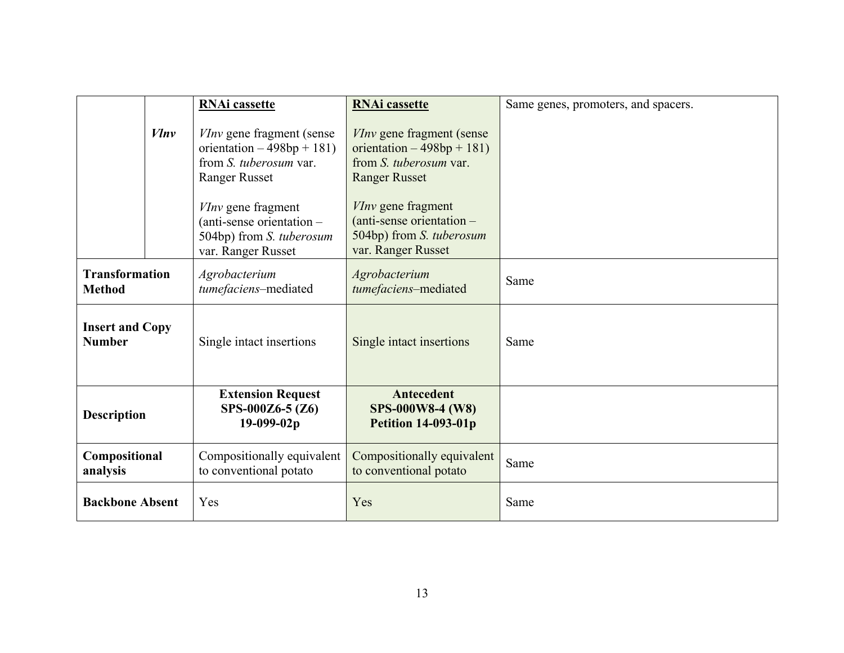|                                         |           | <b>RNAi</b> cassette                                                                                              | <b>RNAi</b> cassette                                                                                              | Same genes, promoters, and spacers. |
|-----------------------------------------|-----------|-------------------------------------------------------------------------------------------------------------------|-------------------------------------------------------------------------------------------------------------------|-------------------------------------|
|                                         | $V \ln v$ | <i>VInv</i> gene fragment (sense)<br>orientation $-498bp + 181$<br>from S. tuberosum var.<br><b>Ranger Russet</b> | <i>VInv</i> gene fragment (sense)<br>orientation $-498bp + 181$<br>from S. tuberosum var.<br><b>Ranger Russet</b> |                                     |
|                                         |           | VInv gene fragment<br>(anti-sense orientation -<br>504bp) from S. tuberosum<br>var. Ranger Russet                 | <i>VInv</i> gene fragment<br>$(anti-sense orientation –$<br>504bp) from S. tuberosum<br>var. Ranger Russet        |                                     |
| <b>Transformation</b><br><b>Method</b>  |           | Agrobacterium<br>tumefaciens-mediated                                                                             | Agrobacterium<br>tumefaciens-mediated                                                                             | Same                                |
| <b>Insert and Copy</b><br><b>Number</b> |           | Single intact insertions                                                                                          | Single intact insertions                                                                                          | Same                                |
| <b>Description</b>                      |           | <b>Extension Request</b><br>SPS-000Z6-5 (Z6)<br>19-099-02p                                                        | <b>Antecedent</b><br><b>SPS-000W8-4 (W8)</b><br><b>Petition 14-093-01p</b>                                        |                                     |
| Compositional<br>analysis               |           | Compositionally equivalent<br>to conventional potato                                                              | Compositionally equivalent<br>to conventional potato                                                              | Same                                |
| <b>Backbone Absent</b>                  |           | Yes                                                                                                               | Yes                                                                                                               | Same                                |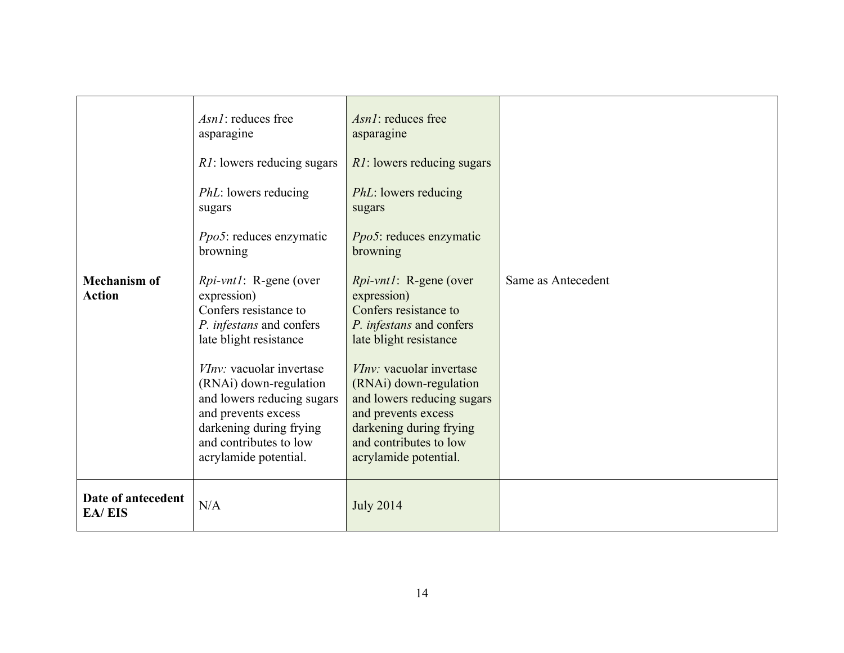|                                      | <i>Asn1</i> : reduces free<br>asparagine                                                                                                                                                                                                                                                                                     | Asn1: reduces free<br>asparagine                                                                                                                                                                                                                                                                                             |                    |
|--------------------------------------|------------------------------------------------------------------------------------------------------------------------------------------------------------------------------------------------------------------------------------------------------------------------------------------------------------------------------|------------------------------------------------------------------------------------------------------------------------------------------------------------------------------------------------------------------------------------------------------------------------------------------------------------------------------|--------------------|
|                                      | <i>R1</i> : lowers reducing sugars                                                                                                                                                                                                                                                                                           | <i>R1</i> : lowers reducing sugars                                                                                                                                                                                                                                                                                           |                    |
|                                      | <i>PhL</i> : lowers reducing<br>sugars                                                                                                                                                                                                                                                                                       | <i>PhL</i> : lowers reducing<br>sugars                                                                                                                                                                                                                                                                                       |                    |
|                                      | <i>Ppo5</i> : reduces enzymatic<br>browning                                                                                                                                                                                                                                                                                  | <i>Ppo5</i> : reduces enzymatic<br>browning                                                                                                                                                                                                                                                                                  |                    |
| <b>Mechanism of</b><br><b>Action</b> | <i>Rpi-vnt1</i> : R-gene (over<br>expression)<br>Confers resistance to<br>P. infestans and confers<br>late blight resistance<br><i>VInv:</i> vacuolar invertase<br>(RNAi) down-regulation<br>and lowers reducing sugars<br>and prevents excess<br>darkening during frying<br>and contributes to low<br>acrylamide potential. | <i>Rpi-vnt1</i> : R-gene (over<br>expression)<br>Confers resistance to<br>P. infestans and confers<br>late blight resistance<br><i>VInv:</i> vacuolar invertase<br>(RNAi) down-regulation<br>and lowers reducing sugars<br>and prevents excess<br>darkening during frying<br>and contributes to low<br>acrylamide potential. | Same as Antecedent |
| Date of antecedent<br><b>EA/EIS</b>  | N/A                                                                                                                                                                                                                                                                                                                          | <b>July 2014</b>                                                                                                                                                                                                                                                                                                             |                    |